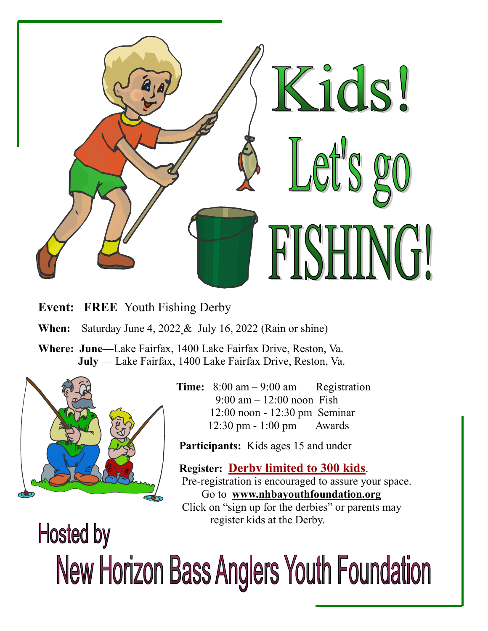

**Event: FREE** Youth Fishing Derby

**When:** Saturday June 4, 2022 & July 16, 2022 (Rain or shine)

**Where: June—**Lake Fairfax, 1400 Lake Fairfax Drive, Reston, Va. **July** — Lake Fairfax, 1400 Lake Fairfax Drive, Reston, Va.



 **Time:** 8:00 am – 9:00 am Registration  $9:00 \text{ am} - 12:00 \text{ noon}$  Fish 12:00 noon - 12:30 pm Seminar 12:30 pm - 1:00 pm Awards

Participants: Kids ages 15 and under

 **Register: Derby limited to 300 kids**. Pre-registration is encouraged to assure your space. Go to **www.nhbayouthfoundation.org** Click on "sign up for the derbies" or parents may register kids at the Derby.

## **Hosted by New Horizon Bass Anglers Youth Foundation**